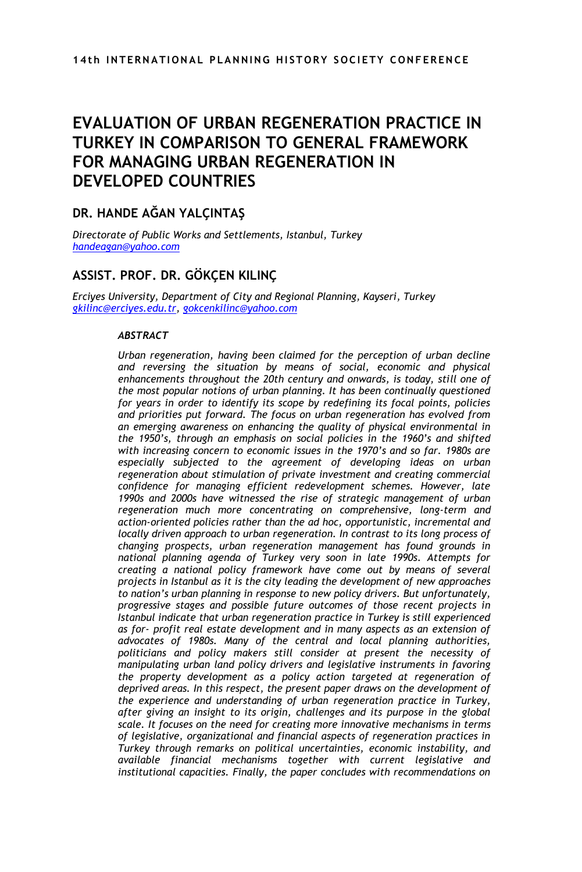# **EVALUATION OF URBAN REGENERATION PRACTICE IN TURKEY IN COMPARISON TO GENERAL FRAMEWORK FOR MANAGING URBAN REGENERATION IN DEVELOPED COUNTRIES**

### **DR. HANDE AĞAN YALÇINTAŞ**

*Directorate of Public Works and Settlements, Istanbul, Turkey [handeagan@yahoo.com](mailto:handeagan@yahoo.com)*

## **ASSIST. PROF. DR. GÖKÇEN KILINÇ**

*Erciyes University, Department of City and Regional Planning, Kayseri, Turkey [gkilinc@erciyes.edu.tr,](mailto:gkilinc@erciyes.edu.tr) [gokcenkilinc@yahoo.com](mailto:gokcenkilinc@yahoo.com)*

#### *ABSTRACT*

*Urban regeneration, having been claimed for the perception of urban decline and reversing the situation by means of social, economic and physical*  enhancements throughout the 20th century and onwards, is today, still one of *the most popular notions of urban planning. It has been continually questioned for years in order to identify its scope by redefining its focal points, policies and priorities put forward. The focus on urban regeneration has evolved from an emerging awareness on enhancing the quality of physical environmental in the 1950's, through an emphasis on social policies in the 1960's and shifted with increasing concern to economic issues in the 1970's and so far. 1980s are especially subjected to the agreement of developing ideas on urban regeneration about stimulation of private investment and creating commercial confidence for managing efficient redevelopment schemes. However, late 1990s and 2000s have witnessed the rise of strategic management of urban regeneration much more concentrating on comprehensive, long-term and action-oriented policies rather than the ad hoc, opportunistic, incremental and locally driven approach to urban regeneration. In contrast to its long process of changing prospects, urban regeneration management has found grounds in national planning agenda of Turkey very soon in late 1990s. Attempts for creating a national policy framework have come out by means of several projects in Istanbul as it is the city leading the development of new approaches to nation's urban planning in response to new policy drivers. But unfortunately, progressive stages and possible future outcomes of those recent projects in Istanbul indicate that urban regeneration practice in Turkey is still experienced as for- profit real estate development and in many aspects as an extension of advocates of 1980s. Many of the central and local planning authorities, politicians and policy makers still consider at present the necessity of manipulating urban land policy drivers and legislative instruments in favoring the property development as a policy action targeted at regeneration of deprived areas. In this respect, the present paper draws on the development of the experience and understanding of urban regeneration practice in Turkey, after giving an insight to its origin, challenges and its purpose in the global scale. It focuses on the need for creating more innovative mechanisms in terms of legislative, organizational and financial aspects of regeneration practices in Turkey through remarks on political uncertainties, economic instability, and available financial mechanisms together with current legislative and institutional capacities. Finally, the paper concludes with recommendations on*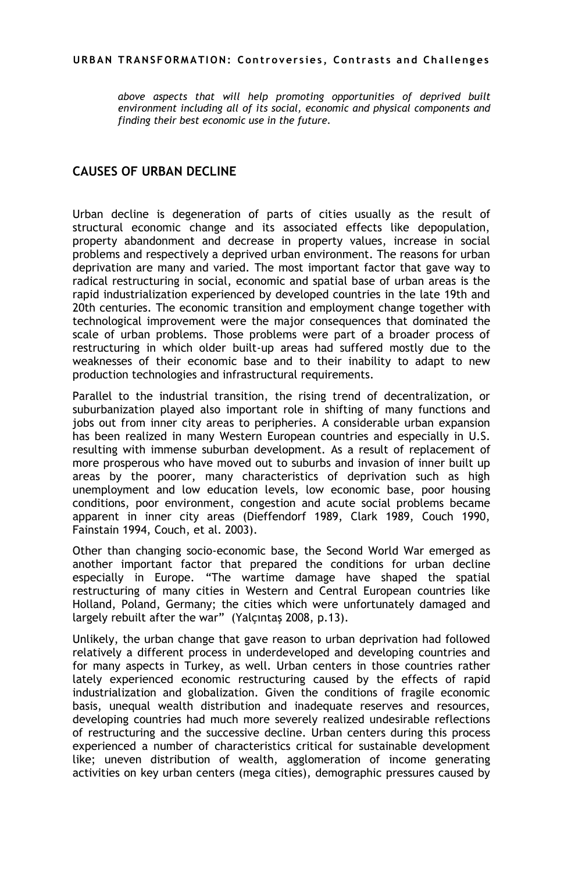*above aspects that will help promoting opportunities of deprived built environment including all of its social, economic and physical components and finding their best economic use in the future.* 

### **CAUSES OF URBAN DECLINE**

Urban decline is degeneration of parts of cities usually as the result of structural economic change and its associated effects like depopulation, property abandonment and decrease in property values, increase in social problems and respectively a deprived urban environment. The reasons for urban deprivation are many and varied. The most important factor that gave way to radical restructuring in social, economic and spatial base of urban areas is the rapid industrialization experienced by developed countries in the late 19th and 20th centuries. The economic transition and employment change together with technological improvement were the major consequences that dominated the scale of urban problems. Those problems were part of a broader process of restructuring in which older built-up areas had suffered mostly due to the weaknesses of their economic base and to their inability to adapt to new production technologies and infrastructural requirements.

Parallel to the industrial transition, the rising trend of decentralization, or suburbanization played also important role in shifting of many functions and jobs out from inner city areas to peripheries. A considerable urban expansion has been realized in many Western European countries and especially in U.S. resulting with immense suburban development. As a result of replacement of more prosperous who have moved out to suburbs and invasion of inner built up areas by the poorer, many characteristics of deprivation such as high unemployment and low education levels, low economic base, poor housing conditions, poor environment, congestion and acute social problems became apparent in inner city areas (Dieffendorf 1989, Clark 1989, Couch 1990, Fainstain 1994, Couch, et al. 2003).

Other than changing socio-economic base, the Second World War emerged as another important factor that prepared the conditions for urban decline especially in Europe. "The wartime damage have shaped the spatial restructuring of many cities in Western and Central European countries like Holland, Poland, Germany; the cities which were unfortunately damaged and largely rebuilt after the war" (Yalçıntaş 2008, p.13).

Unlikely, the urban change that gave reason to urban deprivation had followed relatively a different process in underdeveloped and developing countries and for many aspects in Turkey, as well. Urban centers in those countries rather lately experienced economic restructuring caused by the effects of rapid industrialization and globalization. Given the conditions of fragile economic basis, unequal wealth distribution and inadequate reserves and resources, developing countries had much more severely realized undesirable reflections of restructuring and the successive decline. Urban centers during this process experienced a number of characteristics critical for sustainable development like; uneven distribution of wealth, agglomeration of income generating activities on key urban centers (mega cities), demographic pressures caused by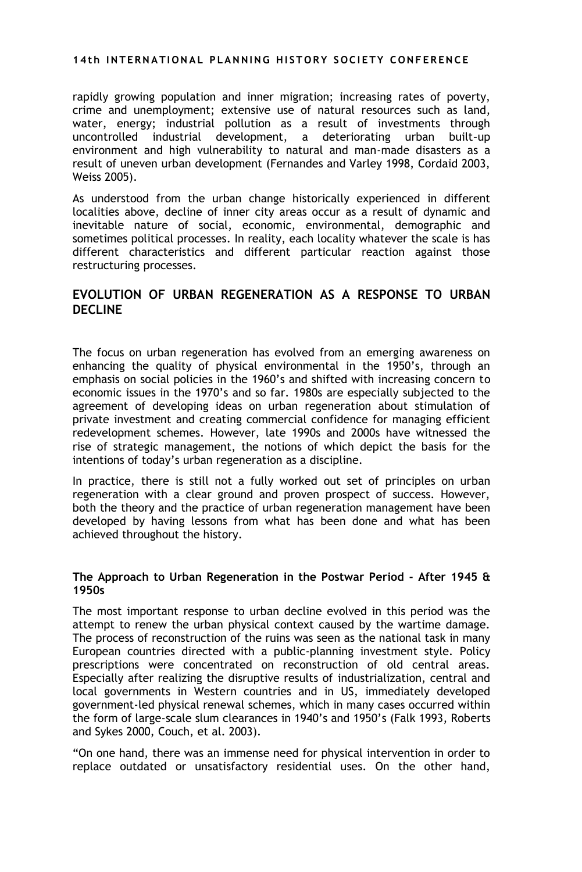rapidly growing population and inner migration; increasing rates of poverty, crime and unemployment; extensive use of natural resources such as land, water, energy; industrial pollution as a result of investments through uncontrolled industrial development, a deteriorating urban built–up environment and high vulnerability to natural and man-made disasters as a result of uneven urban development (Fernandes and Varley 1998, Cordaid 2003, Weiss 2005).

As understood from the urban change historically experienced in different localities above, decline of inner city areas occur as a result of dynamic and inevitable nature of social, economic, environmental, demographic and sometimes political processes. In reality, each locality whatever the scale is has different characteristics and different particular reaction against those restructuring processes.

### **EVOLUTION OF URBAN REGENERATION AS A RESPONSE TO URBAN DECLINE**

The focus on urban regeneration has evolved from an emerging awareness on enhancing the quality of physical environmental in the 1950"s, through an emphasis on social policies in the 1960"s and shifted with increasing concern to economic issues in the 1970"s and so far. 1980s are especially subjected to the agreement of developing ideas on urban regeneration about stimulation of private investment and creating commercial confidence for managing efficient redevelopment schemes. However, late 1990s and 2000s have witnessed the rise of strategic management, the notions of which depict the basis for the intentions of today"s urban regeneration as a discipline.

In practice, there is still not a fully worked out set of principles on urban regeneration with a clear ground and proven prospect of success. However, both the theory and the practice of urban regeneration management have been developed by having lessons from what has been done and what has been achieved throughout the history.

#### **The Approach to Urban Regeneration in the Postwar Period - After 1945 & 1950s**

The most important response to urban decline evolved in this period was the attempt to renew the urban physical context caused by the wartime damage. The process of reconstruction of the ruins was seen as the national task in many European countries directed with a public-planning investment style. Policy prescriptions were concentrated on reconstruction of old central areas. Especially after realizing the disruptive results of industrialization, central and local governments in Western countries and in US, immediately developed government-led physical renewal schemes, which in many cases occurred within the form of large-scale slum clearances in 1940"s and 1950"s (Falk 1993, Roberts and Sykes 2000, Couch, et al. 2003).

"On one hand, there was an immense need for physical intervention in order to replace outdated or unsatisfactory residential uses. On the other hand,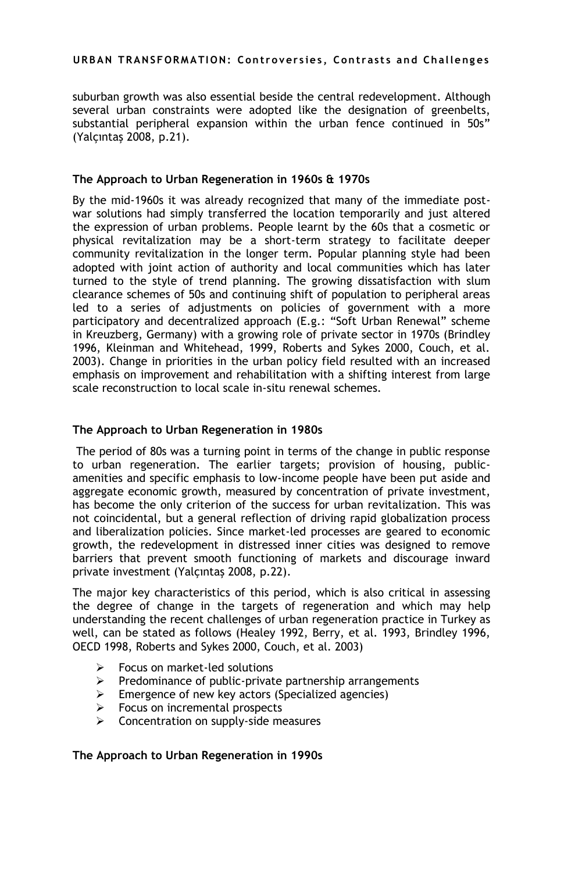suburban growth was also essential beside the central redevelopment. Although several urban constraints were adopted like the designation of greenbelts, substantial peripheral expansion within the urban fence continued in 50s" (Yalçıntaş 2008, p.21).

#### **The Approach to Urban Regeneration in 1960s & 1970s**

By the mid-1960s it was already recognized that many of the immediate postwar solutions had simply transferred the location temporarily and just altered the expression of urban problems. People learnt by the 60s that a cosmetic or physical revitalization may be a short-term strategy to facilitate deeper community revitalization in the longer term. Popular planning style had been adopted with joint action of authority and local communities which has later turned to the style of trend planning. The growing dissatisfaction with slum clearance schemes of 50s and continuing shift of population to peripheral areas led to a series of adjustments on policies of government with a more participatory and decentralized approach (E.g.: "Soft Urban Renewal" scheme in Kreuzberg, Germany) with a growing role of private sector in 1970s (Brindley 1996, Kleinman and Whitehead, 1999, Roberts and Sykes 2000, Couch, et al. 2003). Change in priorities in the urban policy field resulted with an increased emphasis on improvement and rehabilitation with a shifting interest from large scale reconstruction to local scale in-situ renewal schemes.

#### **The Approach to Urban Regeneration in 1980s**

The period of 80s was a turning point in terms of the change in public response to urban regeneration. The earlier targets; provision of housing, publicamenities and specific emphasis to low-income people have been put aside and aggregate economic growth, measured by concentration of private investment, has become the only criterion of the success for urban revitalization. This was not coincidental, but a general reflection of driving rapid globalization process and liberalization policies. Since market-led processes are geared to economic growth, the redevelopment in distressed inner cities was designed to remove barriers that prevent smooth functioning of markets and discourage inward private investment (Yalçıntaş 2008, p.22).

The major key characteristics of this period, which is also critical in assessing the degree of change in the targets of regeneration and which may help understanding the recent challenges of urban regeneration practice in Turkey as well, can be stated as follows (Healey 1992, Berry, et al. 1993, Brindley 1996, OECD 1998, Roberts and Sykes 2000, Couch, et al. 2003)

- $\triangleright$  Focus on market-led solutions
- $\triangleright$  Predominance of public-private partnership arrangements
- $\triangleright$  Emergence of new key actors (Specialized agencies)
- $\triangleright$  Focus on incremental prospects
- $\triangleright$  Concentration on supply-side measures

#### **The Approach to Urban Regeneration in 1990s**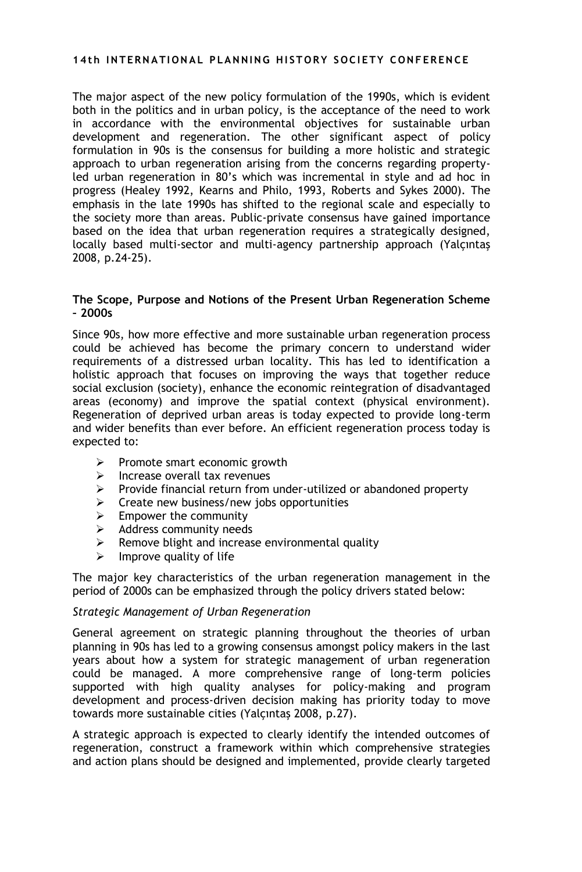The major aspect of the new policy formulation of the 1990s, which is evident both in the politics and in urban policy, is the acceptance of the need to work in accordance with the environmental objectives for sustainable urban development and regeneration. The other significant aspect of policy formulation in 90s is the consensus for building a more holistic and strategic approach to urban regeneration arising from the concerns regarding propertyled urban regeneration in 80"s which was incremental in style and ad hoc in progress (Healey 1992, Kearns and Philo, 1993, Roberts and Sykes 2000). The emphasis in the late 1990s has shifted to the regional scale and especially to the society more than areas. Public-private consensus have gained importance based on the idea that urban regeneration requires a strategically designed, locally based multi-sector and multi-agency partnership approach (Yalçıntaş 2008, p.24-25).

#### **The Scope, Purpose and Notions of the Present Urban Regeneration Scheme – 2000s**

Since 90s, how more effective and more sustainable urban regeneration process could be achieved has become the primary concern to understand wider requirements of a distressed urban locality. This has led to identification a holistic approach that focuses on improving the ways that together reduce social exclusion (society), enhance the economic reintegration of disadvantaged areas (economy) and improve the spatial context (physical environment). Regeneration of deprived urban areas is today expected to provide long-term and wider benefits than ever before. An efficient regeneration process today is expected to:

- $\triangleright$  Promote smart economic growth
- $\triangleright$  Increase overall tax revenues
- $\triangleright$  Provide financial return from under-utilized or abandoned property
- $\triangleright$  Create new business/new jobs opportunities
- $\triangleright$  Empower the community
- $\triangleright$  Address community needs
- $\triangleright$  Remove blight and increase environmental quality
- Improve quality of life

The major key characteristics of the urban regeneration management in the period of 2000s can be emphasized through the policy drivers stated below:

#### *Strategic Management of Urban Regeneration*

General agreement on strategic planning throughout the theories of urban planning in 90s has led to a growing consensus amongst policy makers in the last years about how a system for strategic management of urban regeneration could be managed. A more comprehensive range of long-term policies supported with high quality analyses for policy-making and program development and process-driven decision making has priority today to move towards more sustainable cities (Yalçıntaş 2008, p.27).

A strategic approach is expected to clearly identify the intended outcomes of regeneration, construct a framework within which comprehensive strategies and action plans should be designed and implemented, provide clearly targeted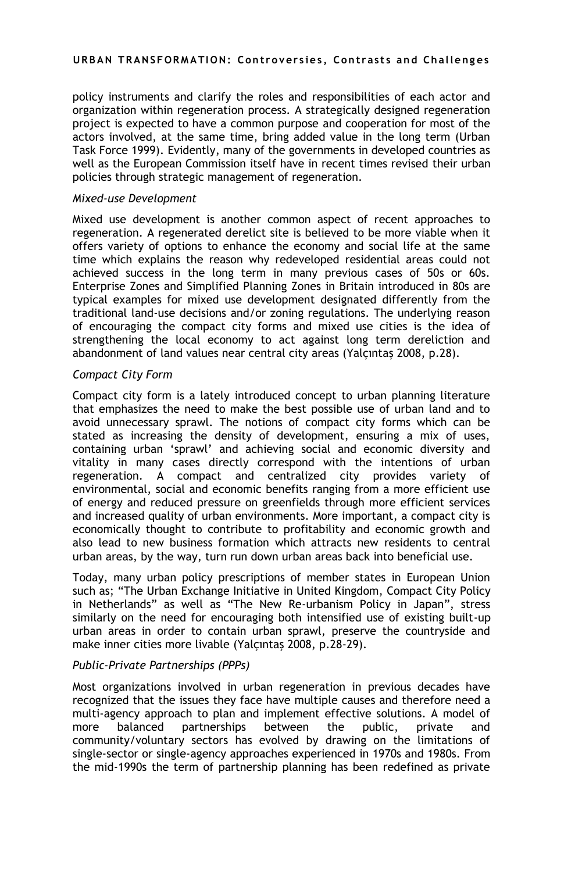policy instruments and clarify the roles and responsibilities of each actor and organization within regeneration process. A strategically designed regeneration project is expected to have a common purpose and cooperation for most of the actors involved, at the same time, bring added value in the long term (Urban Task Force 1999). Evidently, many of the governments in developed countries as well as the European Commission itself have in recent times revised their urban policies through strategic management of regeneration.

#### *Mixed-use Development*

Mixed use development is another common aspect of recent approaches to regeneration. A regenerated derelict site is believed to be more viable when it offers variety of options to enhance the economy and social life at the same time which explains the reason why redeveloped residential areas could not achieved success in the long term in many previous cases of 50s or 60s. Enterprise Zones and Simplified Planning Zones in Britain introduced in 80s are typical examples for mixed use development designated differently from the traditional land-use decisions and/or zoning regulations. The underlying reason of encouraging the compact city forms and mixed use cities is the idea of strengthening the local economy to act against long term dereliction and abandonment of land values near central city areas (Yalçıntaş 2008, p.28).

#### *Compact City Form*

Compact city form is a lately introduced concept to urban planning literature that emphasizes the need to make the best possible use of urban land and to avoid unnecessary sprawl. The notions of compact city forms which can be stated as increasing the density of development, ensuring a mix of uses, containing urban "sprawl" and achieving social and economic diversity and vitality in many cases directly correspond with the intentions of urban regeneration. A compact and centralized city provides variety of environmental, social and economic benefits ranging from a more efficient use of energy and reduced pressure on greenfields through more efficient services and increased quality of urban environments. More important, a compact city is economically thought to contribute to profitability and economic growth and also lead to new business formation which attracts new residents to central urban areas, by the way, turn run down urban areas back into beneficial use.

Today, many urban policy prescriptions of member states in European Union such as; "The Urban Exchange Initiative in United Kingdom, Compact City Policy in Netherlands" as well as "The New Re-urbanism Policy in Japan", stress similarly on the need for encouraging both intensified use of existing built-up urban areas in order to contain urban sprawl, preserve the countryside and make inner cities more livable (Yalçıntaş 2008, p.28-29).

#### *Public-Private Partnerships (PPPs)*

Most organizations involved in urban regeneration in previous decades have recognized that the issues they face have multiple causes and therefore need a multi-agency approach to plan and implement effective solutions. A model of more balanced partnerships between the public, private and community/voluntary sectors has evolved by drawing on the limitations of single-sector or single-agency approaches experienced in 1970s and 1980s. From the mid-1990s the term of partnership planning has been redefined as private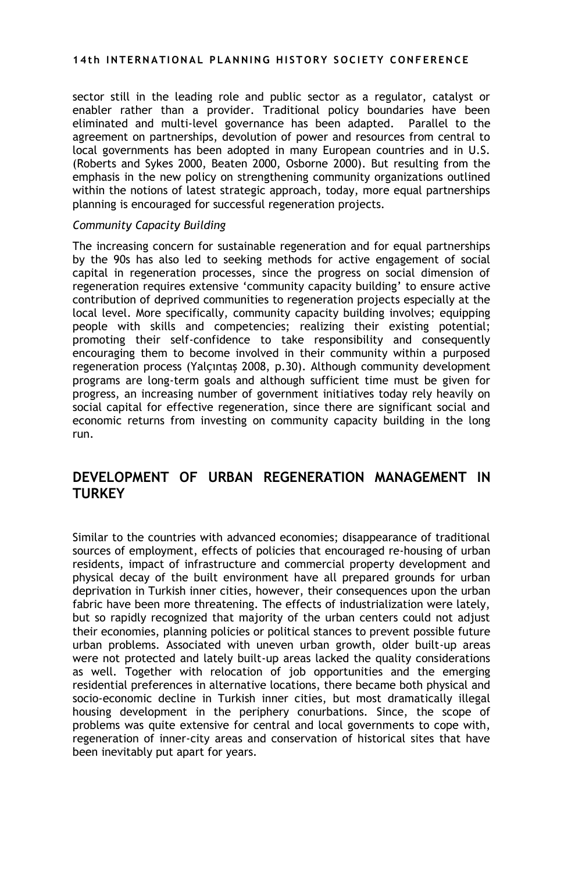sector still in the leading role and public sector as a regulator, catalyst or enabler rather than a provider. Traditional policy boundaries have been eliminated and multi-level governance has been adapted. Parallel to the agreement on partnerships, devolution of power and resources from central to local governments has been adopted in many European countries and in U.S. (Roberts and Sykes 2000, Beaten 2000, Osborne 2000). But resulting from the emphasis in the new policy on strengthening community organizations outlined within the notions of latest strategic approach, today, more equal partnerships planning is encouraged for successful regeneration projects.

#### *Community Capacity Building*

The increasing concern for sustainable regeneration and for equal partnerships by the 90s has also led to seeking methods for active engagement of social capital in regeneration processes, since the progress on social dimension of regeneration requires extensive "community capacity building" to ensure active contribution of deprived communities to regeneration projects especially at the local level. More specifically, community capacity building involves; equipping people with skills and competencies; realizing their existing potential; promoting their self-confidence to take responsibility and consequently encouraging them to become involved in their community within a purposed regeneration process (Yalçıntaş 2008, p.30). Although community development programs are long-term goals and although sufficient time must be given for progress, an increasing number of government initiatives today rely heavily on social capital for effective regeneration, since there are significant social and economic returns from investing on community capacity building in the long run.

# **DEVELOPMENT OF URBAN REGENERATION MANAGEMENT IN TURKEY**

Similar to the countries with advanced economies; disappearance of traditional sources of employment, effects of policies that encouraged re-housing of urban residents, impact of infrastructure and commercial property development and physical decay of the built environment have all prepared grounds for urban deprivation in Turkish inner cities, however, their consequences upon the urban fabric have been more threatening. The effects of industrialization were lately, but so rapidly recognized that majority of the urban centers could not adjust their economies, planning policies or political stances to prevent possible future urban problems. Associated with uneven urban growth, older built-up areas were not protected and lately built-up areas lacked the quality considerations as well. Together with relocation of job opportunities and the emerging residential preferences in alternative locations, there became both physical and socio-economic decline in Turkish inner cities, but most dramatically illegal housing development in the periphery conurbations. Since, the scope of problems was quite extensive for central and local governments to cope with, regeneration of inner-city areas and conservation of historical sites that have been inevitably put apart for years.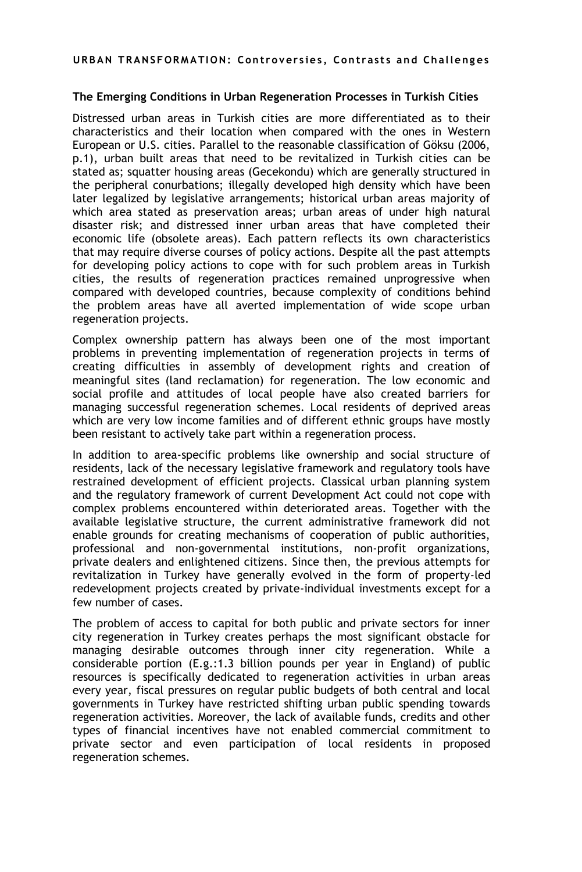#### **The Emerging Conditions in Urban Regeneration Processes in Turkish Cities**

Distressed urban areas in Turkish cities are more differentiated as to their characteristics and their location when compared with the ones in Western European or U.S. cities. Parallel to the reasonable classification of Göksu (2006, p.1), urban built areas that need to be revitalized in Turkish cities can be stated as; squatter housing areas (Gecekondu) which are generally structured in the peripheral conurbations; illegally developed high density which have been later legalized by legislative arrangements; historical urban areas majority of which area stated as preservation areas; urban areas of under high natural disaster risk; and distressed inner urban areas that have completed their economic life (obsolete areas). Each pattern reflects its own characteristics that may require diverse courses of policy actions. Despite all the past attempts for developing policy actions to cope with for such problem areas in Turkish cities, the results of regeneration practices remained unprogressive when compared with developed countries, because complexity of conditions behind the problem areas have all averted implementation of wide scope urban regeneration projects.

Complex ownership pattern has always been one of the most important problems in preventing implementation of regeneration projects in terms of creating difficulties in assembly of development rights and creation of meaningful sites (land reclamation) for regeneration. The low economic and social profile and attitudes of local people have also created barriers for managing successful regeneration schemes. Local residents of deprived areas which are very low income families and of different ethnic groups have mostly been resistant to actively take part within a regeneration process.

In addition to area-specific problems like ownership and social structure of residents, lack of the necessary legislative framework and regulatory tools have restrained development of efficient projects. Classical urban planning system and the regulatory framework of current Development Act could not cope with complex problems encountered within deteriorated areas. Together with the available legislative structure, the current administrative framework did not enable grounds for creating mechanisms of cooperation of public authorities, professional and non-governmental institutions, non-profit organizations, private dealers and enlightened citizens. Since then, the previous attempts for revitalization in Turkey have generally evolved in the form of property-led redevelopment projects created by private-individual investments except for a few number of cases.

The problem of access to capital for both public and private sectors for inner city regeneration in Turkey creates perhaps the most significant obstacle for managing desirable outcomes through inner city regeneration. While a considerable portion (E.g.:1.3 billion pounds per year in England) of public resources is specifically dedicated to regeneration activities in urban areas every year, fiscal pressures on regular public budgets of both central and local governments in Turkey have restricted shifting urban public spending towards regeneration activities. Moreover, the lack of available funds, credits and other types of financial incentives have not enabled commercial commitment to private sector and even participation of local residents in proposed regeneration schemes.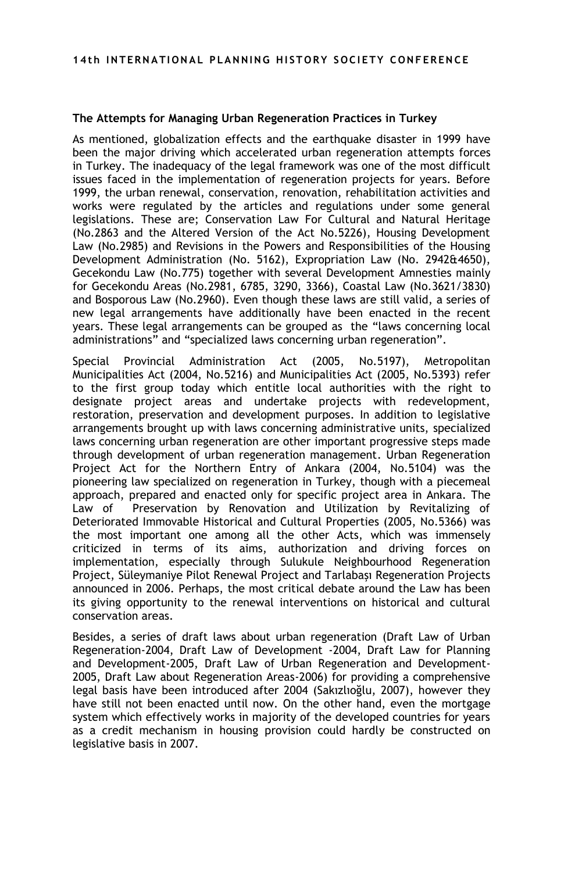#### **The Attempts for Managing Urban Regeneration Practices in Turkey**

As mentioned, globalization effects and the earthquake disaster in 1999 have been the major driving which accelerated urban regeneration attempts forces in Turkey. The inadequacy of the legal framework was one of the most difficult issues faced in the implementation of regeneration projects for years. Before 1999, the urban renewal, conservation, renovation, rehabilitation activities and works were regulated by the articles and regulations under some general legislations. These are; Conservation Law For Cultural and Natural Heritage (No.2863 and the Altered Version of the Act No.5226), Housing Development Law (No.2985) and Revisions in the Powers and Responsibilities of the Housing Development Administration (No. 5162), Expropriation Law (No. 2942&4650), Gecekondu Law (No.775) together with several Development Amnesties mainly for Gecekondu Areas (No.2981, 6785, 3290, 3366), Coastal Law (No.3621/3830) and Bosporous Law (No.2960). Even though these laws are still valid, a series of new legal arrangements have additionally have been enacted in the recent years. These legal arrangements can be grouped as the "laws concerning local administrations" and "specialized laws concerning urban regeneration".

Special Provincial Administration Act (2005, No.5197), Metropolitan Municipalities Act (2004, No.5216) and Municipalities Act (2005, No.5393) refer to the first group today which entitle local authorities with the right to designate project areas and undertake projects with redevelopment, restoration, preservation and development purposes. In addition to legislative arrangements brought up with laws concerning administrative units, specialized laws concerning urban regeneration are other important progressive steps made through development of urban regeneration management. Urban Regeneration Project Act for the Northern Entry of Ankara (2004, No.5104) was the pioneering law specialized on regeneration in Turkey, though with a piecemeal approach, prepared and enacted only for specific project area in Ankara. The Law of Preservation by Renovation and Utilization by Revitalizing of Deteriorated Immovable Historical and Cultural Properties (2005, No.5366) was the most important one among all the other Acts, which was immensely criticized in terms of its aims, authorization and driving forces on implementation, especially through Sulukule Neighbourhood Regeneration Project, Süleymaniye Pilot Renewal Project and Tarlabaşı Regeneration Projects announced in 2006. Perhaps, the most critical debate around the Law has been its giving opportunity to the renewal interventions on historical and cultural conservation areas.

Besides, a series of draft laws about urban regeneration (Draft Law of Urban Regeneration-2004, Draft Law of Development -2004, Draft Law for Planning and Development-2005, Draft Law of Urban Regeneration and Development-2005, Draft Law about Regeneration Areas-2006) for providing a comprehensive legal basis have been introduced after 2004 (Sakızlıoğlu, 2007), however they have still not been enacted until now. On the other hand, even the mortgage system which effectively works in majority of the developed countries for years as a credit mechanism in housing provision could hardly be constructed on legislative basis in 2007.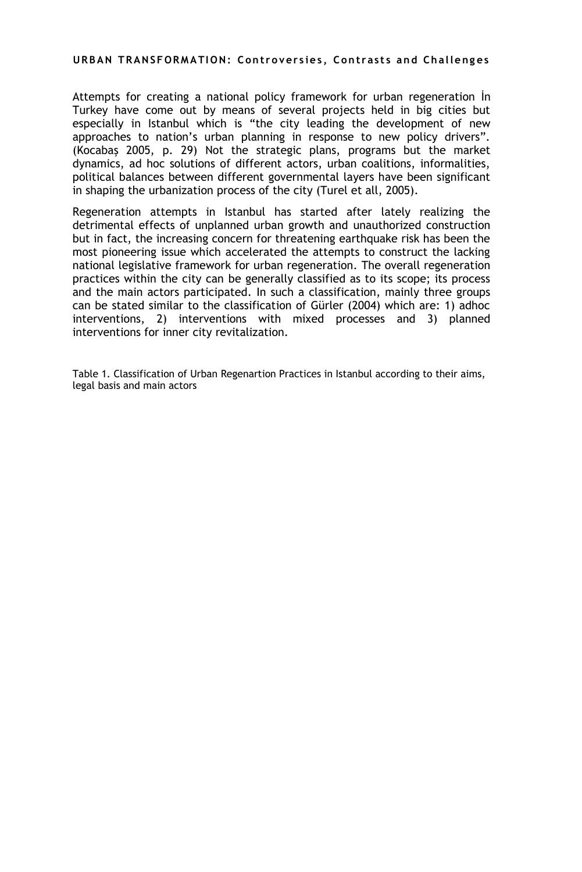Attempts for creating a national policy framework for urban regeneration İn Turkey have come out by means of several projects held in big cities but especially in Istanbul which is "the city leading the development of new approaches to nation"s urban planning in response to new policy drivers". (Kocabaş 2005, p. 29) Not the strategic plans, programs but the market dynamics, ad hoc solutions of different actors, urban coalitions, informalities, political balances between different governmental layers have been significant in shaping the urbanization process of the city (Turel et all, 2005).

Regeneration attempts in Istanbul has started after lately realizing the detrimental effects of unplanned urban growth and unauthorized construction but in fact, the increasing concern for threatening earthquake risk has been the most pioneering issue which accelerated the attempts to construct the lacking national legislative framework for urban regeneration. The overall regeneration practices within the city can be generally classified as to its scope; its process and the main actors participated. In such a classification, mainly three groups can be stated similar to the classification of Gürler (2004) which are: 1) adhoc interventions, 2) interventions with mixed processes and 3) planned interventions for inner city revitalization.

Table 1. Classification of Urban Regenartion Practices in Istanbul according to their aims, legal basis and main actors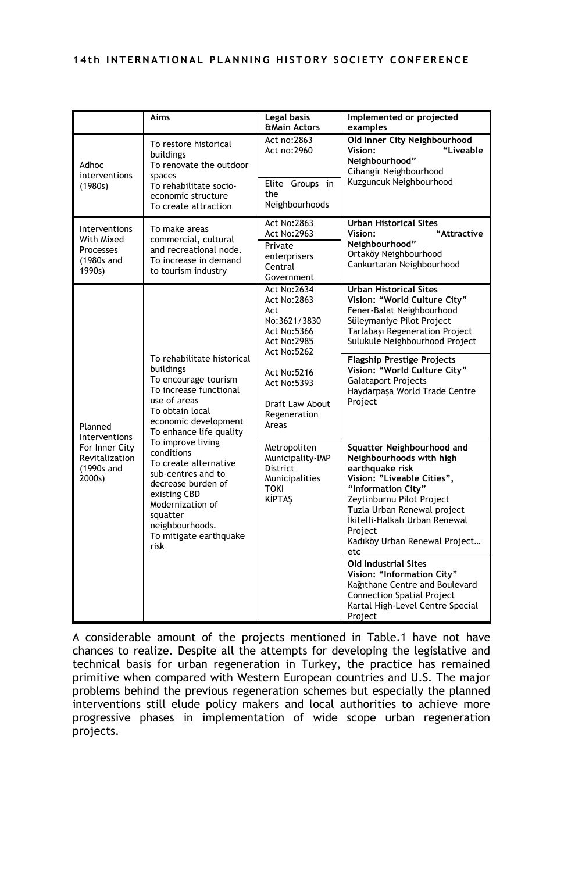|                                                                                      | Aims                                                                                                                                                                                                                                                                                                                                                                                         | Legal basis<br><b>&amp;Main Actors</b>                                                                                            | Implemented or projected<br>examples                                                                                                                                                                                                                                                                                                       |
|--------------------------------------------------------------------------------------|----------------------------------------------------------------------------------------------------------------------------------------------------------------------------------------------------------------------------------------------------------------------------------------------------------------------------------------------------------------------------------------------|-----------------------------------------------------------------------------------------------------------------------------------|--------------------------------------------------------------------------------------------------------------------------------------------------------------------------------------------------------------------------------------------------------------------------------------------------------------------------------------------|
| Adhoc<br>interventions<br>(1980s)                                                    | To restore historical<br>buildings<br>To renovate the outdoor<br>spaces<br>To rehabilitate socio-<br>economic structure<br>To create attraction                                                                                                                                                                                                                                              | Act no: 2863<br>Act no:2960<br>Elite Groups in<br>the<br>Neighbourhoods                                                           | Old Inner City Neighbourhood<br>"Liveable<br>Vision:<br>Neighbourhood"<br>Cihangir Neighbourhood<br>Kuzguncuk Neighbourhood                                                                                                                                                                                                                |
| Interventions<br>With Mixed<br><b>Processes</b><br>(1980s and<br>1990s)              | To make areas<br>commercial, cultural<br>and recreational node.<br>To increase in demand<br>to tourism industry                                                                                                                                                                                                                                                                              | <b>Act No:2863</b><br><b>Act No:2963</b><br>Private<br>enterprisers<br>Central<br>Government                                      | <b>Urban Historical Sites</b><br>Vision:<br>"Attractive<br>Neighbourhood"<br>Ortaköy Neighbourhood<br>Cankurtaran Neighbourhood                                                                                                                                                                                                            |
| Planned<br>Interventions<br>For Inner City<br>Revitalization<br>(1990s and<br>2000s) | To rehabilitate historical<br>buildings<br>To encourage tourism<br>To increase functional<br>use of areas<br>To obtain local<br>economic development<br>To enhance life quality<br>To improve living<br>conditions<br>To create alternative<br>sub-centres and to<br>decrease burden of<br>existing CBD<br>Modernization of<br>squatter<br>neighbourhoods.<br>To mitigate earthquake<br>risk | <b>Act No:2634</b><br><b>Act No:2863</b><br>Act<br>No:3621/3830<br><b>Act No:5366</b><br><b>Act No:2985</b><br><b>Act No:5262</b> | <b>Urban Historical Sites</b><br>Vision: "World Culture City"<br>Fener-Balat Neighbourhood<br>Süleymaniye Pilot Project<br>Tarlabași Regeneration Project<br>Sulukule Neighbourhood Project<br><b>Flagship Prestige Projects</b><br>Vision: "World Culture City"<br><b>Galataport Projects</b><br>Haydarpaşa World Trade Centre<br>Project |
|                                                                                      |                                                                                                                                                                                                                                                                                                                                                                                              | Act No:5216<br><b>Act No:5393</b><br>Draft Law About<br>Regeneration<br>Areas                                                     |                                                                                                                                                                                                                                                                                                                                            |
|                                                                                      |                                                                                                                                                                                                                                                                                                                                                                                              | Metropoliten<br>Municipality-IMP<br><b>District</b><br>Municipalities<br><b>TOKI</b><br><b>KİPTAŞ</b>                             | Squatter Neighbourhood and<br>Neighbourhoods with high<br>earthquake risk<br>Vision: "Liveable Cities",<br>"Information City"<br>Zeytinburnu Pilot Project<br>Tuzla Urban Renewal project<br>İkitelli-Halkalı Urban Renewal<br>Project<br>Kadıköy Urban Renewal Project<br>etc<br><b>Old Industrial Sites</b>                              |
|                                                                                      |                                                                                                                                                                                                                                                                                                                                                                                              |                                                                                                                                   | Vision: "Information City"<br>Kağıthane Centre and Boulevard<br><b>Connection Spatial Project</b><br>Kartal High-Level Centre Special<br>Project                                                                                                                                                                                           |

A considerable amount of the projects mentioned in Table.1 have not have chances to realize. Despite all the attempts for developing the legislative and technical basis for urban regeneration in Turkey, the practice has remained primitive when compared with Western European countries and U.S. The major problems behind the previous regeneration schemes but especially the planned interventions still elude policy makers and local authorities to achieve more progressive phases in implementation of wide scope urban regeneration projects.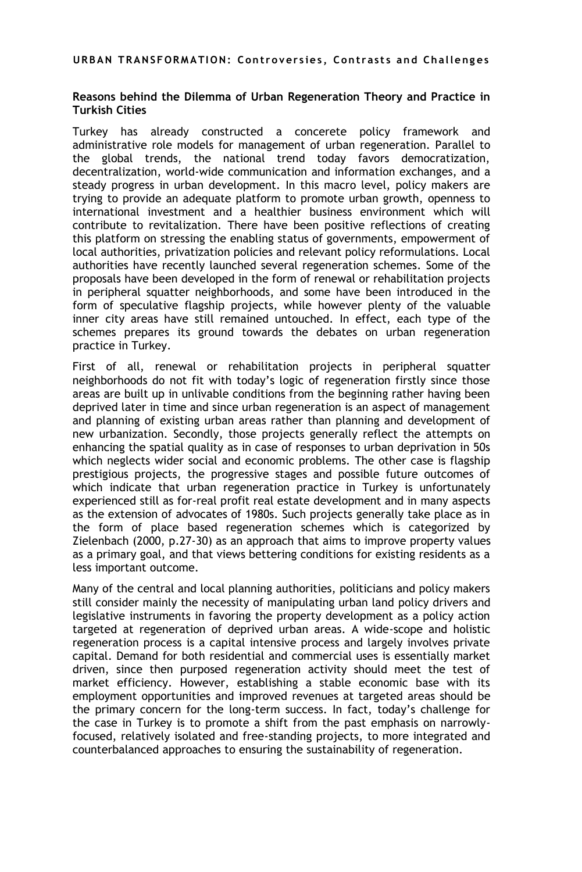#### **Reasons behind the Dilemma of Urban Regeneration Theory and Practice in Turkish Cities**

Turkey has already constructed a concerete policy framework and administrative role models for management of urban regeneration. Parallel to the global trends, the national trend today favors democratization, decentralization, world-wide communication and information exchanges, and a steady progress in urban development. In this macro level, policy makers are trying to provide an adequate platform to promote urban growth, openness to international investment and a healthier business environment which will contribute to revitalization. There have been positive reflections of creating this platform on stressing the enabling status of governments, empowerment of local authorities, privatization policies and relevant policy reformulations. Local authorities have recently launched several regeneration schemes. Some of the proposals have been developed in the form of renewal or rehabilitation projects in peripheral squatter neighborhoods, and some have been introduced in the form of speculative flagship projects, while however plenty of the valuable inner city areas have still remained untouched. In effect, each type of the schemes prepares its ground towards the debates on urban regeneration practice in Turkey.

First of all, renewal or rehabilitation projects in peripheral squatter neighborhoods do not fit with today"s logic of regeneration firstly since those areas are built up in unlivable conditions from the beginning rather having been deprived later in time and since urban regeneration is an aspect of management and planning of existing urban areas rather than planning and development of new urbanization. Secondly, those projects generally reflect the attempts on enhancing the spatial quality as in case of responses to urban deprivation in 50s which neglects wider social and economic problems. The other case is flagship prestigious projects, the progressive stages and possible future outcomes of which indicate that urban regeneration practice in Turkey is unfortunately experienced still as for-real profit real estate development and in many aspects as the extension of advocates of 1980s. Such projects generally take place as in the form of place based regeneration schemes which is categorized by Zielenbach (2000, p.27-30) as an approach that aims to improve property values as a primary goal, and that views bettering conditions for existing residents as a less important outcome.

Many of the central and local planning authorities, politicians and policy makers still consider mainly the necessity of manipulating urban land policy drivers and legislative instruments in favoring the property development as a policy action targeted at regeneration of deprived urban areas. A wide-scope and holistic regeneration process is a capital intensive process and largely involves private capital. Demand for both residential and commercial uses is essentially market driven, since then purposed regeneration activity should meet the test of market efficiency. However, establishing a stable economic base with its employment opportunities and improved revenues at targeted areas should be the primary concern for the long-term success. In fact, today"s challenge for the case in Turkey is to promote a shift from the past emphasis on narrowlyfocused, relatively isolated and free-standing projects, to more integrated and counterbalanced approaches to ensuring the sustainability of regeneration.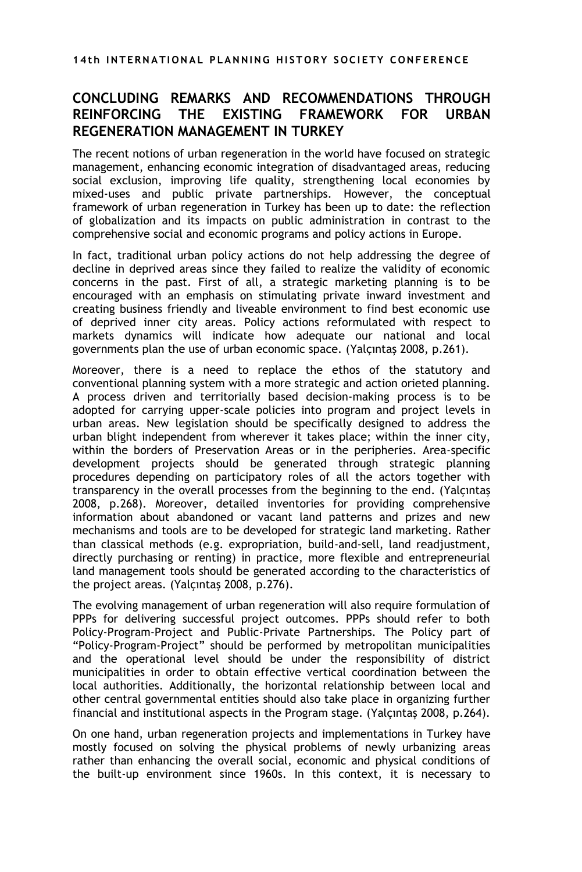# **CONCLUDING REMARKS AND RECOMMENDATIONS THROUGH REINFORCING THE EXISTING FRAMEWORK FOR URBAN REGENERATION MANAGEMENT IN TURKEY**

The recent notions of urban regeneration in the world have focused on strategic management, enhancing economic integration of disadvantaged areas, reducing social exclusion, improving life quality, strengthening local economies by mixed-uses and public private partnerships. However, the conceptual framework of urban regeneration in Turkey has been up to date: the reflection of globalization and its impacts on public administration in contrast to the comprehensive social and economic programs and policy actions in Europe.

In fact, traditional urban policy actions do not help addressing the degree of decline in deprived areas since they failed to realize the validity of economic concerns in the past. First of all, a strategic marketing planning is to be encouraged with an emphasis on stimulating private inward investment and creating business friendly and liveable environment to find best economic use of deprived inner city areas. Policy actions reformulated with respect to markets dynamics will indicate how adequate our national and local governments plan the use of urban economic space. (Yalçıntaş 2008, p.261).

Moreover, there is a need to replace the ethos of the statutory and conventional planning system with a more strategic and action orieted planning. A process driven and territorially based decision-making process is to be adopted for carrying upper-scale policies into program and project levels in urban areas. New legislation should be specifically designed to address the urban blight independent from wherever it takes place; within the inner city, within the borders of Preservation Areas or in the peripheries. Area-specific development projects should be generated through strategic planning procedures depending on participatory roles of all the actors together with transparency in the overall processes from the beginning to the end. (Yalçıntaş 2008, p.268). Moreover, detailed inventories for providing comprehensive information about abandoned or vacant land patterns and prizes and new mechanisms and tools are to be developed for strategic land marketing. Rather than classical methods (e.g. expropriation, build-and-sell, land readjustment, directly purchasing or renting) in practice, more flexible and entrepreneurial land management tools should be generated according to the characteristics of the project areas. (Yalçıntaş 2008, p.276).

The evolving management of urban regeneration will also require formulation of PPPs for delivering successful project outcomes. PPPs should refer to both Policy-Program-Project and Public-Private Partnerships. The Policy part of "Policy-Program-Project" should be performed by metropolitan municipalities and the operational level should be under the responsibility of district municipalities in order to obtain effective vertical coordination between the local authorities. Additionally, the horizontal relationship between local and other central governmental entities should also take place in organizing further financial and institutional aspects in the Program stage. (Yalçıntaş 2008, p.264).

On one hand, urban regeneration projects and implementations in Turkey have mostly focused on solving the physical problems of newly urbanizing areas rather than enhancing the overall social, economic and physical conditions of the built-up environment since 1960s. In this context, it is necessary to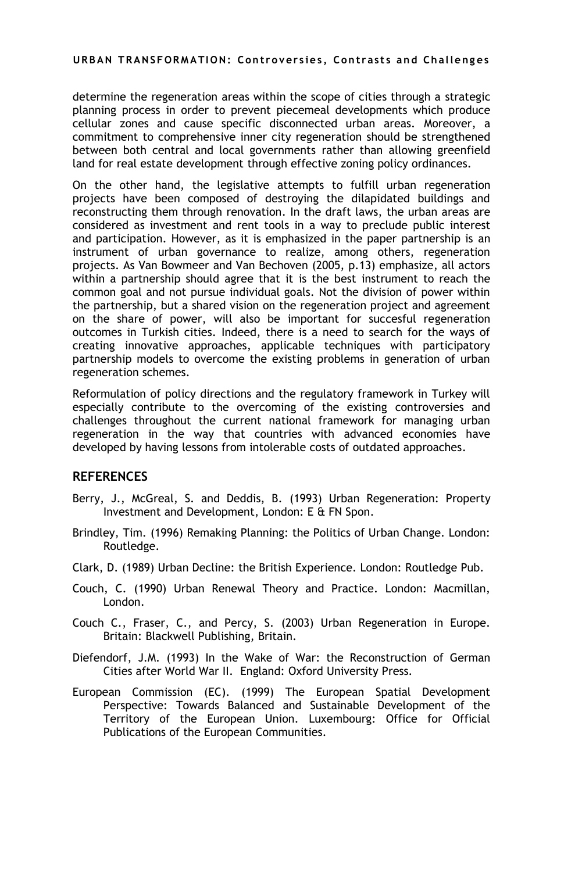determine the regeneration areas within the scope of cities through a strategic planning process in order to prevent piecemeal developments which produce cellular zones and cause specific disconnected urban areas. Moreover, a commitment to comprehensive inner city regeneration should be strengthened between both central and local governments rather than allowing greenfield land for real estate development through effective zoning policy ordinances.

On the other hand, the legislative attempts to fulfill urban regeneration projects have been composed of destroying the dilapidated buildings and reconstructing them through renovation. In the draft laws, the urban areas are considered as investment and rent tools in a way to preclude public interest and participation. However, as it is emphasized in the paper partnership is an instrument of urban governance to realize, among others, regeneration projects. As Van Bowmeer and Van Bechoven (2005, p.13) emphasize, all actors within a partnership should agree that it is the best instrument to reach the common goal and not pursue individual goals. Not the division of power within the partnership, but a shared vision on the regeneration project and agreement on the share of power, will also be important for succesful regeneration outcomes in Turkish cities. Indeed, there is a need to search for the ways of creating innovative approaches, applicable techniques with participatory partnership models to overcome the existing problems in generation of urban regeneration schemes.

Reformulation of policy directions and the regulatory framework in Turkey will especially contribute to the overcoming of the existing controversies and challenges throughout the current national framework for managing urban regeneration in the way that countries with advanced economies have developed by having lessons from intolerable costs of outdated approaches.

### **REFERENCES**

- Berry, J., McGreal, S. and Deddis, B. (1993) Urban Regeneration: Property Investment and Development, London: E & FN Spon.
- Brindley, Tim. (1996) Remaking Planning: the Politics of Urban Change. London: Routledge.
- Clark, D. (1989) Urban Decline: the British Experience. London: Routledge Pub.
- Couch, C. (1990) Urban Renewal Theory and Practice. London: Macmillan, London.
- Couch C., Fraser, C., and Percy, S. (2003) Urban Regeneration in Europe. Britain: Blackwell Publishing, Britain.
- Diefendorf, J.M. (1993) In the Wake of War: the Reconstruction of German Cities after World War II. England: Oxford University Press.
- European Commission (EC). (1999) The European Spatial Development Perspective: Towards Balanced and Sustainable Development of the Territory of the European Union. Luxembourg: Office for Official Publications of the European Communities.